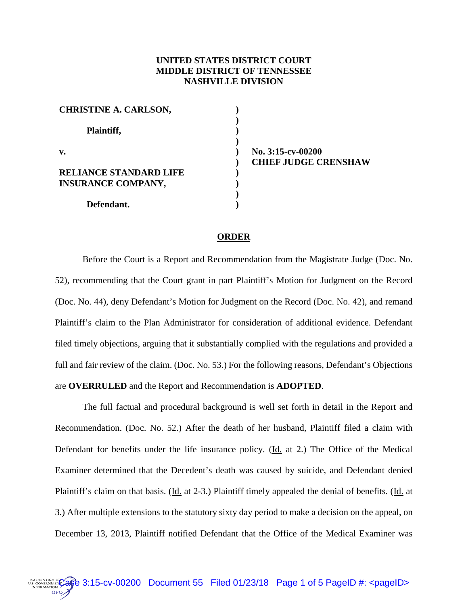## **UNITED STATES DISTRICT COURT MIDDLE DISTRICT OF TENNESSEE NASHVILLE DIVISION**

| <b>CHRISTINE A. CARLSON,</b>  |  |
|-------------------------------|--|
| Plaintiff,                    |  |
| $\mathbf{v}$ .                |  |
| <b>RELIANCE STANDARD LIFE</b> |  |
| <b>INSURANCE COMPANY,</b>     |  |
| Defendant.                    |  |

**No. 3:15-cv-00200 CHIEF JUDGE CRENSHAW**

## **ORDER**

Before the Court is a Report and Recommendation from the Magistrate Judge (Doc. No. 52), recommending that the Court grant in part Plaintiff's Motion for Judgment on the Record (Doc. No. 44), deny Defendant's Motion for Judgment on the Record (Doc. No. 42), and remand Plaintiff's claim to the Plan Administrator for consideration of additional evidence. Defendant filed timely objections, arguing that it substantially complied with the regulations and provided a full and fair review of the claim. (Doc. No. 53.) For the following reasons, Defendant's Objections are **OVERRULED** and the Report and Recommendation is **ADOPTED**.

The full factual and procedural background is well set forth in detail in the Report and Recommendation. (Doc. No. 52.) After the death of her husband, Plaintiff filed a claim with Defendant for benefits under the life insurance policy. (Id. at 2.) The Office of the Medical Examiner determined that the Decedent's death was caused by suicide, and Defendant denied Plaintiff's claim on that basis. (Id. at 2-3.) Plaintiff timely appealed the denial of benefits. (Id. at 3.) After multiple extensions to the statutory sixty day period to make a decision on the appeal, on December 13, 2013, Plaintiff notified Defendant that the Office of the Medical Examiner was

OTHENTICATER CARBER 3:15-CV-00200 Document 55 Filed 01/23/18 Page 1 of 5 PageID #: <pageID>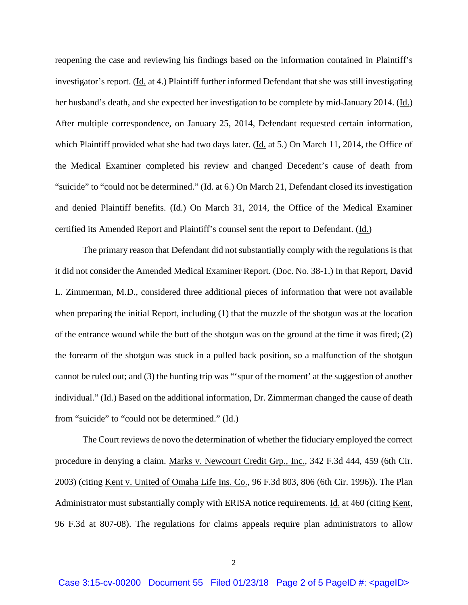reopening the case and reviewing his findings based on the information contained in Plaintiff's investigator's report. (Id. at 4.) Plaintiff further informed Defendant that she was still investigating her husband's death, and she expected her investigation to be complete by mid-January 2014. (Id.) After multiple correspondence, on January 25, 2014, Defendant requested certain information, which Plaintiff provided what she had two days later. (Id. at 5.) On March 11, 2014, the Office of the Medical Examiner completed his review and changed Decedent's cause of death from "suicide" to "could not be determined." (Id. at 6.) On March 21, Defendant closed its investigation and denied Plaintiff benefits. (Id.) On March 31, 2014, the Office of the Medical Examiner certified its Amended Report and Plaintiff's counsel sent the report to Defendant. (Id.)

The primary reason that Defendant did not substantially comply with the regulations is that it did not consider the Amended Medical Examiner Report. (Doc. No. 38-1.) In that Report, David L. Zimmerman, M.D., considered three additional pieces of information that were not available when preparing the initial Report, including (1) that the muzzle of the shotgun was at the location of the entrance wound while the butt of the shotgun was on the ground at the time it was fired; (2) the forearm of the shotgun was stuck in a pulled back position, so a malfunction of the shotgun cannot be ruled out; and (3) the hunting trip was "'spur of the moment' at the suggestion of another individual." (Id.) Based on the additional information, Dr. Zimmerman changed the cause of death from "suicide" to "could not be determined." (Id.)

The Court reviews de novo the determination of whether the fiduciary employed the correct procedure in denying a claim. Marks v. Newcourt Credit Grp., Inc., 342 F.3d 444, 459 (6th Cir. 2003) (citing Kent v. United of Omaha Life Ins. Co., 96 F.3d 803, 806 (6th Cir. 1996)). The Plan Administrator must substantially comply with ERISA notice requirements. Id. at 460 (citing Kent, 96 F.3d at 807-08). The regulations for claims appeals require plan administrators to allow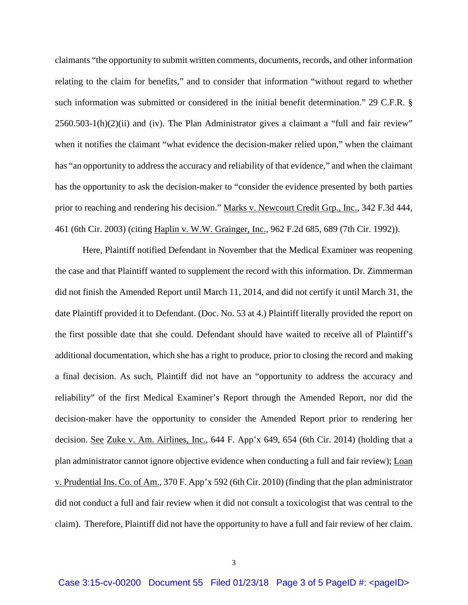claimants "the opportunity to submit written comments, documents, records, and other information relating to the claim for benefits," and to consider that information "without regard to whether such information was submitted or considered in the initial benefit determination." 29 C.F.R. § 2560.503-1(h)(2)(ii) and (iv). The Plan Administrator gives a claimant a "full and fair review" when it notifies the claimant "what evidence the decision-maker relied upon," when the claimant has "an opportunity to address the accuracy and reliability of that evidence," and when the claimant has the opportunity to ask the decision-maker to "consider the evidence presented by both parties prior to reaching and rendering his decision." Marks v. Newcourt Credit Grp., Inc., 342 F.3d 444, 461 (6th Cir. 2003) (citing Haplin v. W.W. Grainger, Inc., 962 F.2d 685, 689 (7th Cir. 1992)).

Here, Plaintiff notified Defendant in November that the Medical Examiner was reopening the case and that Plaintiff wanted to supplement the record with this information. Dr. Zimmerman did not finish the Amended Report until March 11, 2014, and did not certify it until March 31, the date Plaintiff provided it to Defendant. (Doc. No. 53 at 4.) Plaintiff literally provided the report on the first possible date that she could. Defendant should have waited to receive all of Plaintiff's additional documentation, which she has a right to produce, prior to closing the record and making a final decision. As such, Plaintiff did not have an "opportunity to address the accuracy and reliability" of the first Medical Examiner's Report through the Amended Report, nor did the decision-maker have the opportunity to consider the Amended Report prior to rendering her decision. <u>See Zuke v. Am. Airlines, Inc.</u>, 644 F. App'x 649, 654 (6th Cir. 2014) (holding that a plan administrator cannot ignore objective evidence when conducting a full and fair review); Loan v. Prudential Ins. Co. of Am., 370 F. App'x 592 (6th Cir. 2010) (finding that the plan administrator did not conduct a full and fair review when it did not consult a toxicologist that was central to the claim). Therefore, Plaintiff did not have the opportunity to have a full and fair review of her claim.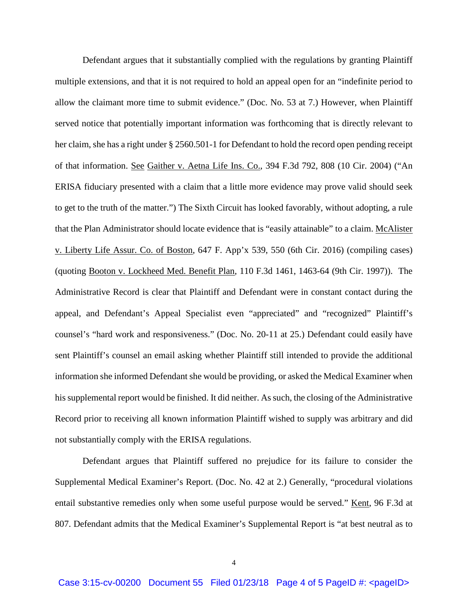Defendant argues that it substantially complied with the regulations by granting Plaintiff multiple extensions, and that it is not required to hold an appeal open for an "indefinite period to allow the claimant more time to submit evidence." (Doc. No. 53 at 7.) However, when Plaintiff served notice that potentially important information was forthcoming that is directly relevant to her claim, she has a right under § 2560.501-1 for Defendant to hold the record open pending receipt of that information. See Gaither v. Aetna Life Ins. Co., 394 F.3d 792, 808 (10 Cir. 2004) ("An ERISA fiduciary presented with a claim that a little more evidence may prove valid should seek to get to the truth of the matter.") The Sixth Circuit has looked favorably, without adopting, a rule that the Plan Administrator should locate evidence that is "easily attainable" to a claim. McAlister v. Liberty Life Assur. Co. of Boston, 647 F. App'x 539, 550 (6th Cir. 2016) (compiling cases) (quoting Booton v. Lockheed Med. Benefit Plan, 110 F.3d 1461, 1463-64 (9th Cir. 1997)). The Administrative Record is clear that Plaintiff and Defendant were in constant contact during the appeal, and Defendant's Appeal Specialist even "appreciated" and "recognized" Plaintiff's counsel's "hard work and responsiveness." (Doc. No. 20-11 at 25.) Defendant could easily have sent Plaintiff's counsel an email asking whether Plaintiff still intended to provide the additional information she informed Defendant she would be providing, or asked the Medical Examiner when his supplemental report would be finished. It did neither. As such, the closing of the Administrative Record prior to receiving all known information Plaintiff wished to supply was arbitrary and did not substantially comply with the ERISA regulations.

Defendant argues that Plaintiff suffered no prejudice for its failure to consider the Supplemental Medical Examiner's Report. (Doc. No. 42 at 2.) Generally, "procedural violations entail substantive remedies only when some useful purpose would be served." Kent, 96 F.3d at 807. Defendant admits that the Medical Examiner's Supplemental Report is "at best neutral as to